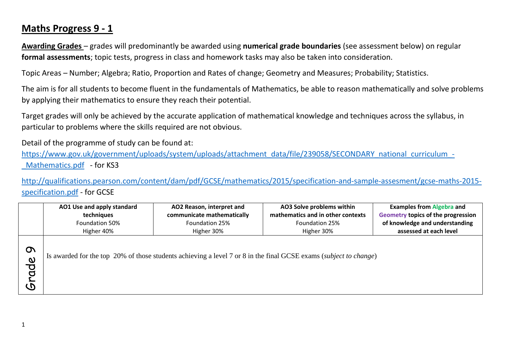## **Maths Progress 9 - 1**

**Awarding Grades** – grades will predominantly be awarded using **numerical grade boundaries** (see assessment below) on regular **formal assessments**; topic tests, progress in class and homework tasks may also be taken into consideration.

Topic Areas – Number; Algebra; Ratio, Proportion and Rates of change; Geometry and Measures; Probability; Statistics.

The aim is for all students to become fluent in the fundamentals of Mathematics, be able to reason mathematically and solve problems by applying their mathematics to ensure they reach their potential.

Target grades will only be achieved by the accurate application of mathematical knowledge and techniques across the syllabus, in particular to problems where the skills required are not obvious.

Detail of the programme of study can be found at:

[https://www.gov.uk/government/uploads/system/uploads/attachment\\_data/file/239058/SECONDARY\\_national\\_curriculum\\_-](https://www.gov.uk/government/uploads/system/uploads/attachment_data/file/239058/SECONDARY_national_curriculum_-_Mathematics.pdf) Mathematics.pdf - for KS3

[http://qualifications.pearson.com/content/dam/pdf/GCSE/mathematics/2015/specification-and-sample-assesment/gcse-maths-2015](http://qualifications.pearson.com/content/dam/pdf/GCSE/mathematics/2015/specification-and-sample-assesment/gcse-maths-2015-specification.pdf) [specification.pdf](http://qualifications.pearson.com/content/dam/pdf/GCSE/mathematics/2015/specification-and-sample-assesment/gcse-maths-2015-specification.pdf) - for GCSE

|                                                                   | AO1 Use and apply standard<br>AO2 Reason, interpret and<br>techniques<br>communicate mathematically<br>Foundation 50%<br>Foundation 25%<br>Higher 40%<br>Higher 30% |  | AO3 Solve problems within<br>mathematics and in other contexts<br>Foundation 25%<br>Higher 30%                    | <b>Examples from Algebra and</b><br>Geometry topics of the progression<br>of knowledge and understanding<br>assessed at each level |  |
|-------------------------------------------------------------------|---------------------------------------------------------------------------------------------------------------------------------------------------------------------|--|-------------------------------------------------------------------------------------------------------------------|------------------------------------------------------------------------------------------------------------------------------------|--|
| $\Omega$<br>$\boldsymbol{\omega}$<br>р<br>О<br>$\bm{\mathcal{D}}$ |                                                                                                                                                                     |  | Is awarded for the top 20% of those students achieving a level 7 or 8 in the final GCSE exams (subject to change) |                                                                                                                                    |  |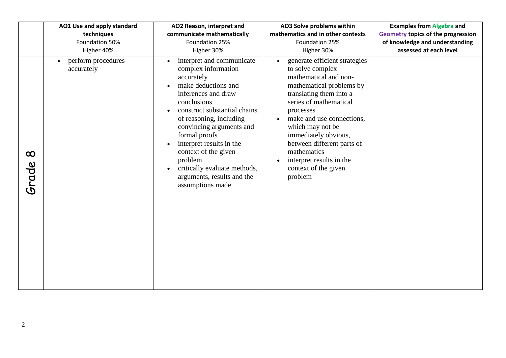|                   | AO1 Use and apply standard                    | AO2 Reason, interpret and                                                                                                                                                                                                                                                                                                                                                            | AO3 Solve problems within                                                                                                                                                                                                                                                                                                                                                                            | <b>Examples from Algebra and</b>          |
|-------------------|-----------------------------------------------|--------------------------------------------------------------------------------------------------------------------------------------------------------------------------------------------------------------------------------------------------------------------------------------------------------------------------------------------------------------------------------------|------------------------------------------------------------------------------------------------------------------------------------------------------------------------------------------------------------------------------------------------------------------------------------------------------------------------------------------------------------------------------------------------------|-------------------------------------------|
|                   | techniques                                    | communicate mathematically                                                                                                                                                                                                                                                                                                                                                           | mathematics and in other contexts                                                                                                                                                                                                                                                                                                                                                                    | <b>Geometry topics of the progression</b> |
|                   | Foundation 50%                                | Foundation 25%                                                                                                                                                                                                                                                                                                                                                                       | Foundation 25%                                                                                                                                                                                                                                                                                                                                                                                       | of knowledge and understanding            |
|                   | Higher 40%                                    | Higher 30%                                                                                                                                                                                                                                                                                                                                                                           | Higher 30%                                                                                                                                                                                                                                                                                                                                                                                           | assessed at each level                    |
| $\infty$<br>Grade | perform procedures<br>$\bullet$<br>accurately | interpret and communicate<br>complex information<br>accurately<br>make deductions and<br>inferences and draw<br>conclusions<br>construct substantial chains<br>of reasoning, including<br>convincing arguments and<br>formal proofs<br>interpret results in the<br>context of the given<br>problem<br>critically evaluate methods,<br>arguments, results and the<br>assumptions made | generate efficient strategies<br>$\bullet$<br>to solve complex<br>mathematical and non-<br>mathematical problems by<br>translating them into a<br>series of mathematical<br>processes<br>make and use connections,<br>$\bullet$<br>which may not be<br>immediately obvious,<br>between different parts of<br>mathematics<br>interpret results in the<br>$\bullet$<br>context of the given<br>problem |                                           |

2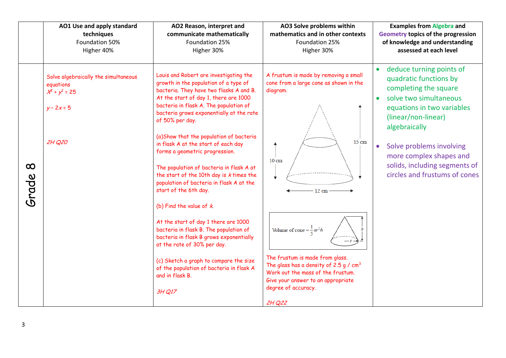|                   | AO1 Use and apply standard                                                                          | AO2 Reason, interpret and                                                                                                                                                                                                                                                                                                                                                                                                                                                                                                                                                                                                                                                                                                                                                                                                                                                        | AO3 Solve problems within                                                                                                                                                                                                                                                                                                                                                  | <b>Examples from Algebra and</b>                                                                                                                                                                                                                                                                                                            |
|-------------------|-----------------------------------------------------------------------------------------------------|----------------------------------------------------------------------------------------------------------------------------------------------------------------------------------------------------------------------------------------------------------------------------------------------------------------------------------------------------------------------------------------------------------------------------------------------------------------------------------------------------------------------------------------------------------------------------------------------------------------------------------------------------------------------------------------------------------------------------------------------------------------------------------------------------------------------------------------------------------------------------------|----------------------------------------------------------------------------------------------------------------------------------------------------------------------------------------------------------------------------------------------------------------------------------------------------------------------------------------------------------------------------|---------------------------------------------------------------------------------------------------------------------------------------------------------------------------------------------------------------------------------------------------------------------------------------------------------------------------------------------|
|                   | techniques                                                                                          | communicate mathematically                                                                                                                                                                                                                                                                                                                                                                                                                                                                                                                                                                                                                                                                                                                                                                                                                                                       | mathematics and in other contexts                                                                                                                                                                                                                                                                                                                                          | <b>Geometry topics of the progression</b>                                                                                                                                                                                                                                                                                                   |
|                   | Foundation 50%                                                                                      | Foundation 25%                                                                                                                                                                                                                                                                                                                                                                                                                                                                                                                                                                                                                                                                                                                                                                                                                                                                   | Foundation 25%                                                                                                                                                                                                                                                                                                                                                             | of knowledge and understanding                                                                                                                                                                                                                                                                                                              |
|                   | Higher 40%                                                                                          | Higher 30%                                                                                                                                                                                                                                                                                                                                                                                                                                                                                                                                                                                                                                                                                                                                                                                                                                                                       | Higher 30%                                                                                                                                                                                                                                                                                                                                                                 | assessed at each level                                                                                                                                                                                                                                                                                                                      |
| $\infty$<br>Grade | Solve algebraically the simultaneous<br>equations<br>$x^{2} + y^{2} = 25$<br>$y - 2x = 5$<br>2H Q20 | Louis and Robert are investigating the<br>growth in the population of a type of<br>bacteria. They have two flasks A and B.<br>At the start of day 1, there are 1000<br>bacteria in flask A. The population of<br>bacteria grows exponentially at the rate<br>of 50% per day.<br>(a)Show that the population of bacteria<br>in flask A at the start of each day<br>forms a geometric progression.<br>The population of bacteria in flask A at<br>the start of the 10th day is <i>k</i> times the<br>population of bacteria in flask A at the<br>start of the 6th day.<br>(b) Find the value of $k$<br>At the start of day 1 there are 1000<br>bacteria in flask B. The population of<br>bacteria in flask B grows exponentially<br>at the rate of 30% per day.<br>(c) Sketch a graph to compare the size<br>of the population of bacteria in flask A<br>and in flask B.<br>3H Q17 | A frustum is made by removing a small<br>cone from a large cone as shown in the<br>diagram.<br>15 cm<br>$10 \text{ cm}$<br>$-12$ cm<br>Volume of cone = $\frac{1}{2} \pi r^2 h$<br>The frustum is made from glass.<br>The glass has a density of 2.5 g / $cm3$<br>Work out the mass of the frustum.<br>Give your answer to an appropriate<br>degree of accuracy.<br>2H Q22 | deduce turning points of<br>$\bullet$<br>quadratic functions by<br>completing the square<br>solve two simultaneous<br>$\bullet$<br>equations in two variables<br>(linear/non-linear)<br>algebraically<br>Solve problems involving<br>$\bullet$<br>more complex shapes and<br>solids, including segments of<br>circles and frustums of cones |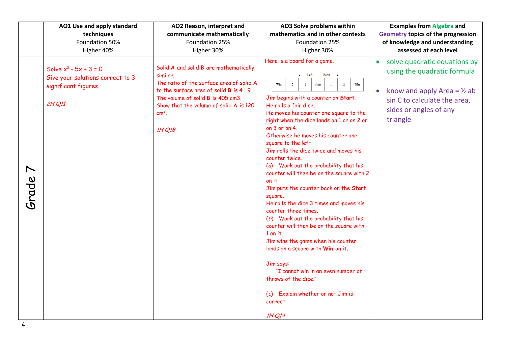|                                | AO1 Use and apply standard                                                                     | AO2 Reason, interpret and                                                                                                                                                                                                                   | AO3 Solve problems within                                                                                                                                                                                                                                                                                                                                                                                                                                                                                                                                                                                                                                                                                                                                                                                                                                                                                                                                                                                 | <b>Examples from Algebra and</b>                                                                                                                                                         |
|--------------------------------|------------------------------------------------------------------------------------------------|---------------------------------------------------------------------------------------------------------------------------------------------------------------------------------------------------------------------------------------------|-----------------------------------------------------------------------------------------------------------------------------------------------------------------------------------------------------------------------------------------------------------------------------------------------------------------------------------------------------------------------------------------------------------------------------------------------------------------------------------------------------------------------------------------------------------------------------------------------------------------------------------------------------------------------------------------------------------------------------------------------------------------------------------------------------------------------------------------------------------------------------------------------------------------------------------------------------------------------------------------------------------|------------------------------------------------------------------------------------------------------------------------------------------------------------------------------------------|
|                                | techniques                                                                                     | communicate mathematically                                                                                                                                                                                                                  | mathematics and in other contexts                                                                                                                                                                                                                                                                                                                                                                                                                                                                                                                                                                                                                                                                                                                                                                                                                                                                                                                                                                         | Geometry topics of the progression                                                                                                                                                       |
|                                | Foundation 50%                                                                                 | Foundation 25%                                                                                                                                                                                                                              | Foundation 25%                                                                                                                                                                                                                                                                                                                                                                                                                                                                                                                                                                                                                                                                                                                                                                                                                                                                                                                                                                                            | of knowledge and understanding                                                                                                                                                           |
|                                | Higher 40%                                                                                     | Higher 30%                                                                                                                                                                                                                                  | Higher 30%                                                                                                                                                                                                                                                                                                                                                                                                                                                                                                                                                                                                                                                                                                                                                                                                                                                                                                                                                                                                | assessed at each level                                                                                                                                                                   |
| $\blacktriangleright$<br>Grade | Solve $x^2 - 5x + 3 = 0$<br>Give your solutions correct to 3<br>significant figures.<br>2H Q11 | Solid A and solid B are mathematically<br>similar.<br>The ratio of the surface area of solid A<br>to the surface area of solid B is 4:9<br>The volume of solid B is 405 cm3.<br>Show that the volume of solid A is 120<br>$cm3$ .<br>1H Q18 | Here is a board for a game.<br>$\leftarrow$ Left<br>$Right \rightarrow$<br>$W_{11}$<br>$-2$<br>Win<br>$-1$<br>Start<br>$\mathbf{1}$<br>$\overline{2}$<br>Jim begins with a counter on Start.<br>He rolls a fair dice.<br>He moves his counter one square to the<br>right when the dice lands on 1 or on 2 or<br>on $3$ or on $4$ .<br>Otherwise he moves his counter one<br>square to the left.<br>Jim rolls the dice twice and moves his<br>counter twice.<br>(a) Work out the probability that his<br>counter will then be on the square with 2<br>on it<br>Jim puts the counter back on the Start<br>square.<br>He rolls the dice 3 times and moves his<br>counter three times.<br>(b) Work out the probability that his<br>counter will then be on the square with -<br>$1$ on it.<br>Jim wins the game when his counter<br>lands on a square with Win on it.<br>Jim says:<br>"I cannot win in an even number of<br>throws of the dice."<br>$(c)$ Explain whether or not Jim is<br>correct.<br>1H Q14 | solve quadratic equations by<br>using the quadratic formula<br>know and apply Area = $\frac{1}{2}$ ab<br>$\bullet$<br>sin C to calculate the area,<br>sides or angles of any<br>triangle |

4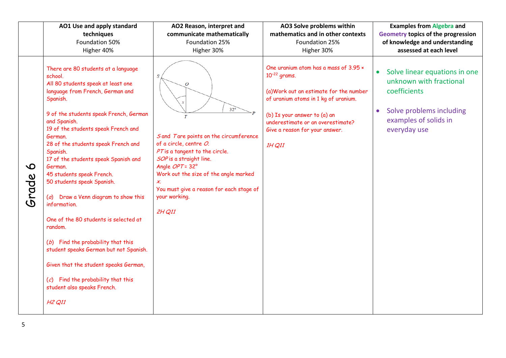|                      | AO1 Use and apply standard                                                                                                                                                                                                                                                                                                                                                                                                                                                                                                                                                                                                                                                                                                                                      | AO2 Reason, interpret and                                                                                                                                                                                                                                                                                                     | AO3 Solve problems within                                                                                                                                                                                                                                      | <b>Examples from Algebra and</b>                                                                                                                                        |
|----------------------|-----------------------------------------------------------------------------------------------------------------------------------------------------------------------------------------------------------------------------------------------------------------------------------------------------------------------------------------------------------------------------------------------------------------------------------------------------------------------------------------------------------------------------------------------------------------------------------------------------------------------------------------------------------------------------------------------------------------------------------------------------------------|-------------------------------------------------------------------------------------------------------------------------------------------------------------------------------------------------------------------------------------------------------------------------------------------------------------------------------|----------------------------------------------------------------------------------------------------------------------------------------------------------------------------------------------------------------------------------------------------------------|-------------------------------------------------------------------------------------------------------------------------------------------------------------------------|
|                      | techniques                                                                                                                                                                                                                                                                                                                                                                                                                                                                                                                                                                                                                                                                                                                                                      | communicate mathematically                                                                                                                                                                                                                                                                                                    | mathematics and in other contexts                                                                                                                                                                                                                              | Geometry topics of the progression                                                                                                                                      |
|                      | Foundation 50%                                                                                                                                                                                                                                                                                                                                                                                                                                                                                                                                                                                                                                                                                                                                                  | Foundation 25%                                                                                                                                                                                                                                                                                                                | Foundation 25%                                                                                                                                                                                                                                                 | of knowledge and understanding                                                                                                                                          |
|                      | Higher 40%                                                                                                                                                                                                                                                                                                                                                                                                                                                                                                                                                                                                                                                                                                                                                      | Higher 30%                                                                                                                                                                                                                                                                                                                    | Higher 30%                                                                                                                                                                                                                                                     | assessed at each level                                                                                                                                                  |
| $\mathbf O$<br>Grade | There are 80 students at a language<br>school.<br>All 80 students speak at least one<br>language from French, German and<br>Spanish.<br>9 of the students speak French, German<br>and Spanish.<br>19 of the students speak French and<br>German.<br>28 of the students speak French and<br>Spanish.<br>17 of the students speak Spanish and<br>German.<br>45 students speak French.<br>50 students speak Spanish.<br>(a) Draw a Venn diagram to show this<br>information.<br>One of the 80 students is selected at<br>random.<br>(b) Find the probability that this<br>student speaks German but not Spanish.<br>Given that the student speaks German,<br>$(c)$ Find the probability that this<br>student also speaks French.<br>H <sub>2</sub> Q <sub>11</sub> | S<br>$\overline{O}$<br>$32^{\circ}$<br>$\overline{T}$<br>S and Tare points on the circumference<br>of a circle, centre O.<br>PT is a tangent to the circle.<br>SOP is a straight line.<br>Angle OPT=32°<br>Work out the size of the angle marked<br>X.<br>You must give a reason for each stage of<br>your working.<br>2H Q11 | One uranium atom has a mass of 3.95 x<br>$10^{-22}$ grams.<br>(a) Work out an estimate for the number<br>of uranium atoms in 1 kg of uranium.<br>(b) Is your answer to (a) an<br>underestimate or an overestimate?<br>Give a reason for your answer.<br>1H Q11 | Solve linear equations in one<br>$\bullet$<br>unknown with fractional<br>coefficients<br>Solve problems including<br>$\bullet$<br>examples of solids in<br>everyday use |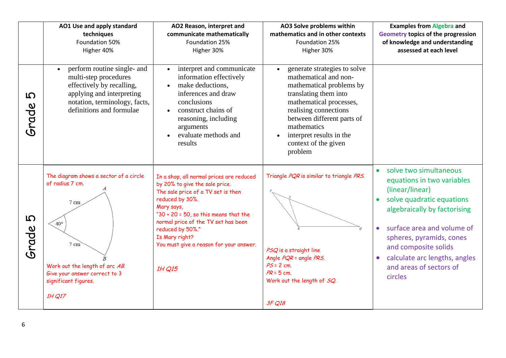|                      | AO2 Reason, interpret and<br>AO1 Use and apply standard<br>communicate mathematically<br>techniques<br>Foundation 50%<br>Foundation 25%<br>Higher 40%<br>Higher 30%                                              |                                                                                                                                                                                                                                                                                                                                  | AO3 Solve problems within<br>mathematics and in other contexts<br>Foundation 25%<br>Higher 30%                                                                                                                                                                             | <b>Examples from Algebra and</b><br><b>Geometry topics of the progression</b><br>of knowledge and understanding<br>assessed at each level                                                                                                                                                                                            |
|----------------------|------------------------------------------------------------------------------------------------------------------------------------------------------------------------------------------------------------------|----------------------------------------------------------------------------------------------------------------------------------------------------------------------------------------------------------------------------------------------------------------------------------------------------------------------------------|----------------------------------------------------------------------------------------------------------------------------------------------------------------------------------------------------------------------------------------------------------------------------|--------------------------------------------------------------------------------------------------------------------------------------------------------------------------------------------------------------------------------------------------------------------------------------------------------------------------------------|
| $\mathbf D$<br>Srade | perform routine single- and<br>$\bullet$<br>multi-step procedures<br>effectively by recalling,<br>applying and interpreting<br>notation, terminology, facts,<br>definitions and formulae                         | interpret and communicate<br>information effectively<br>make deductions,<br>inferences and draw<br>conclusions<br>construct chains of<br>reasoning, including<br>arguments<br>evaluate methods and<br>results                                                                                                                    | generate strategies to solve<br>mathematical and non-<br>mathematical problems by<br>translating them into<br>mathematical processes,<br>realising connections<br>between different parts of<br>mathematics<br>interpret results in the<br>context of the given<br>problem |                                                                                                                                                                                                                                                                                                                                      |
| $\mathbf D$<br>Grade | The diagram shows a sector of a circle<br>of radius 7 cm.<br>$7 \text{ cm}$<br>$40^\circ$<br>$7 \text{ cm}$<br>Work out the length of arc AB.<br>Give your answer correct to 3<br>significant figures.<br>1H Q17 | In a shop, all normal prices are reduced<br>by 20% to give the sale price.<br>The sale price of a TV set is then<br>reduced by 30%.<br>Mary says,<br>" $30 + 20 = 50$ , so this means that the<br>normal price of the TV set has been<br>reduced by 50%."<br>Is Mary right?<br>You must give a reason for your answer.<br>1H Q15 | Triangle PQR is similar to triangle PRS.<br>PSQ is a straight line<br>Angle PQR = angle PRS.<br>$PS = 2$ cm.<br>$PR = 5$ cm.<br>Work out the length of SQ.<br>3F Q18                                                                                                       | solve two simultaneous<br>equations in two variables<br>(linear/linear)<br>solve quadratic equations<br>$\bullet$<br>algebraically by factorising<br>surface area and volume of<br>$\bullet$<br>spheres, pyramids, cones<br>and composite solids<br>calculate arc lengths, angles<br>$\bullet$<br>and areas of sectors of<br>circles |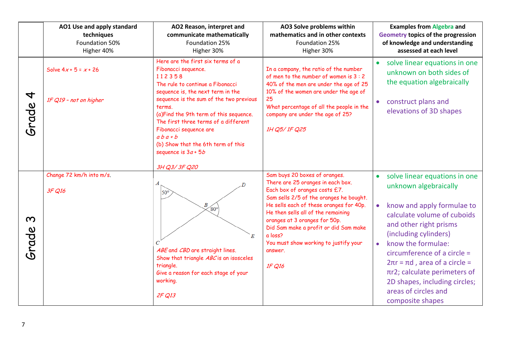|                                   | AO1 Use and apply standard<br>techniques<br>Foundation 50%<br>Higher 40% | AO2 Reason, interpret and<br>communicate mathematically<br>Foundation 25%<br>Higher 30%                                                                                                                                                                                                                                                                                                    | AO3 Solve problems within<br>mathematics and in other contexts<br>Foundation 25%<br>Higher 30%                                                                                                                                                                                                               | <b>Examples from Algebra and</b><br><b>Geometry topics of the progression</b><br>of knowledge and understanding<br>assessed at each level                                                                                                                                                                                                                                           |
|-----------------------------------|--------------------------------------------------------------------------|--------------------------------------------------------------------------------------------------------------------------------------------------------------------------------------------------------------------------------------------------------------------------------------------------------------------------------------------------------------------------------------------|--------------------------------------------------------------------------------------------------------------------------------------------------------------------------------------------------------------------------------------------------------------------------------------------------------------|-------------------------------------------------------------------------------------------------------------------------------------------------------------------------------------------------------------------------------------------------------------------------------------------------------------------------------------------------------------------------------------|
| $\overline{\mathcal{A}}$<br>Grade | Solve $4x + 5 = x + 26$<br>1F Q19 - not on higher                        | Here are the first six terms of a<br>Fibonacci sequence.<br>112358<br>The rule to continue a Fibonacci<br>sequence is, the next term in the<br>sequence is the sum of the two previous<br>terms.<br>(a) Find the 9th term of this sequence.<br>The first three terms of a different<br>Fibonacci sequence are<br>$ab$ a + b<br>(b) Show that the 6th term of this<br>sequence is $3a + 5b$ | In a company, the ratio of the number<br>of men to the number of women is 3 : 2<br>40% of the men are under the age of 25<br>10% of the women are under the age of<br>25<br>What percentage of all the people in the<br>company are under the age of 25?<br>1H Q5/1F Q25                                     | solve linear equations in one<br>unknown on both sides of<br>the equation algebraically<br>• construct plans and<br>elevations of 3D shapes                                                                                                                                                                                                                                         |
|                                   | Change 72 km/h into m/s.                                                 | 3H Q3/3F Q20<br>А                                                                                                                                                                                                                                                                                                                                                                          | Sam buys 20 boxes of oranges.<br>There are 25 oranges in each box.                                                                                                                                                                                                                                           | solve linear equations in one                                                                                                                                                                                                                                                                                                                                                       |
| $\boldsymbol{\infty}$<br>Grade    | 3F Q16                                                                   | 50°<br>В<br>$\sqrt{80^\circ}$<br>E<br>ABE and CBD are straight lines.<br>Show that triangle ABC is an isosceles<br>triangle.<br>Give a reason for each stage of your<br>working.<br>2F Q13                                                                                                                                                                                                 | Each box of oranges costs £7.<br>Sam sells 2/5 of the oranges he bought.<br>He sells each of these oranges for 40p.<br>He then sells all of the remaining<br>oranges at 3 oranges for 50p.<br>Did Sam make a profit or did Sam make<br>a loss?<br>You must show working to justify your<br>answer.<br>1F Q16 | unknown algebraically<br>know and apply formulae to<br>$\bullet$<br>calculate volume of cuboids<br>and other right prisms<br>(including cylinders)<br>know the formulae:<br>$\bullet$<br>circumference of a circle $=$<br>$2\pi r$ = $\pi d$ , area of a circle =<br>$\pi$ r2; calculate perimeters of<br>2D shapes, including circles;<br>areas of circles and<br>composite shapes |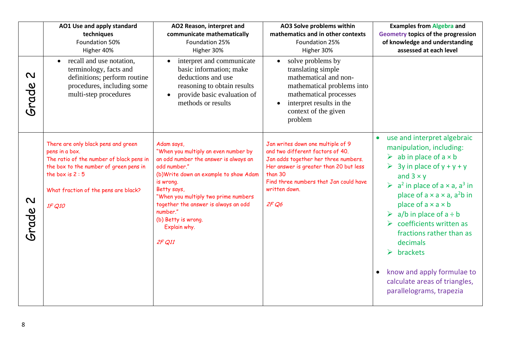|                                    | AO1 Use and apply standard<br>techniques<br>Foundation 50%<br>Higher 40%                                                                                                                                                                                                                                                                                                                                                                                                                                                                           | AO2 Reason, interpret and<br>communicate mathematically<br>Foundation 25%<br>Higher 30%                                                                                     | AO3 Solve problems within<br>mathematics and in other contexts<br>Foundation 25%<br>Higher 30%                                                                                                                                        | <b>Examples from Algebra and</b><br><b>Geometry topics of the progression</b><br>of knowledge and understanding<br>assessed at each level                                                                                                                                                                                                                                                                                                                                                                                                                                                 |
|------------------------------------|----------------------------------------------------------------------------------------------------------------------------------------------------------------------------------------------------------------------------------------------------------------------------------------------------------------------------------------------------------------------------------------------------------------------------------------------------------------------------------------------------------------------------------------------------|-----------------------------------------------------------------------------------------------------------------------------------------------------------------------------|---------------------------------------------------------------------------------------------------------------------------------------------------------------------------------------------------------------------------------------|-------------------------------------------------------------------------------------------------------------------------------------------------------------------------------------------------------------------------------------------------------------------------------------------------------------------------------------------------------------------------------------------------------------------------------------------------------------------------------------------------------------------------------------------------------------------------------------------|
| $\boldsymbol{\mathsf{N}}$<br>Grade | recall and use notation,<br>$\bullet$<br>terminology, facts and<br>definitions; perform routine<br>procedures, including some<br>multi-step procedures                                                                                                                                                                                                                                                                                                                                                                                             | interpret and communicate<br>basic information; make<br>deductions and use<br>reasoning to obtain results<br>provide basic evaluation of<br>$\bullet$<br>methods or results | solve problems by<br>$\bullet$<br>translating simple<br>mathematical and non-<br>mathematical problems into<br>mathematical processes<br>interpret results in the<br>context of the given<br>problem                                  |                                                                                                                                                                                                                                                                                                                                                                                                                                                                                                                                                                                           |
| $\boldsymbol{\mathsf{N}}$<br>Grade | There are only black pens and green<br>Adam says,<br>"When you multiply an even number by<br>pens in a box.<br>The ratio of the number of black pens in<br>an odd number the answer is always an<br>the box to the number of green pens in<br>odd number."<br>the box is $2:5$<br>(b)Write down an example to show Adam<br>is wrong.<br>Betty says,<br>What fraction of the pens are black?<br>"When you multiply two prime numbers<br>together the answer is always an odd<br>1F Q10<br>number."<br>(b) Betty is wrong.<br>Explain why.<br>2F Q11 |                                                                                                                                                                             | Jan writes down one multiple of 9<br>and two different factors of 40.<br>Jan adds together her three numbers.<br>Her answer is greater than 20 but less<br>than 30<br>Find three numbers that Jan could have<br>written down.<br>2FQ6 | use and interpret algebraic<br>manipulation, including:<br>$\triangleright$ ab in place of a $\times$ b<br>$\triangleright$ 3y in place of y + y + y<br>and $3 \times y$<br>$\triangleright$ a <sup>2</sup> in place of a $\times$ a, a <sup>3</sup> in<br>place of $a \times a \times a$ , $a^2b$ in<br>place of $a \times a \times b$<br>$\triangleright$ a/b in place of a $\div$ b<br>coefficients written as<br>fractions rather than as<br>decimals<br>$\blacktriangleright$<br>brackets<br>know and apply formulae to<br>calculate areas of triangles,<br>parallelograms, trapezia |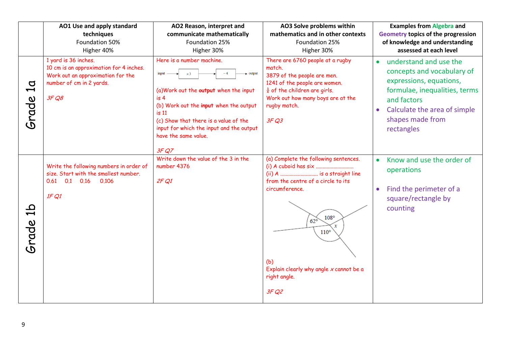|                                            | AO1 Use and apply standard<br>techniques<br>Foundation 50%                                                                                | AO2 Reason, interpret and<br>communicate mathematically<br>Foundation 25%                                                                                                                                                                                                                         | AO3 Solve problems within<br>mathematics and in other contexts<br>Foundation 25%                                                                                                                                                                               | <b>Examples from Algebra and</b><br>Geometry topics of the progression<br>of knowledge and understanding                                                                                                       |
|--------------------------------------------|-------------------------------------------------------------------------------------------------------------------------------------------|---------------------------------------------------------------------------------------------------------------------------------------------------------------------------------------------------------------------------------------------------------------------------------------------------|----------------------------------------------------------------------------------------------------------------------------------------------------------------------------------------------------------------------------------------------------------------|----------------------------------------------------------------------------------------------------------------------------------------------------------------------------------------------------------------|
|                                            | Higher 40%                                                                                                                                | Higher 30%                                                                                                                                                                                                                                                                                        | Higher 30%                                                                                                                                                                                                                                                     | assessed at each level                                                                                                                                                                                         |
| $\sigma$<br>$\blacktriangleright$<br>Srade | 1 yard is 36 inches.<br>10 cm is an approximation for 4 inches.<br>Work out an approximation for the<br>number of cm in 2 yards.<br>3F Q8 | Here is a number machine.<br>- output<br>input<br>$\times$ 3<br>(a) Work out the output when the input<br>is <sub>4</sub><br>(b) Work out the input when the output<br>is 11<br>(c) Show that there is a value of the<br>input for which the input and the output<br>have the same value.<br>3FQ7 | There are 6760 people at a rugby<br>match.<br>3879 of the people are men.<br>1241 of the people are women.<br>$\frac{1}{4}$ of the children are girls.<br>Work out how many boys are at the<br>rugby match.<br>3FQ3                                            | understand and use the<br>concepts and vocabulary of<br>expressions, equations,<br>formulae, inequalities, terms<br>and factors<br>Calculate the area of simple<br>$\bullet$<br>shapes made from<br>rectangles |
| م<br>س<br>Grade                            | Write the following numbers in order of<br>size. Start with the smallest number.<br>$0.1$ 0.16<br>0.61<br>0.106<br>1FQ1                   | Write down the value of the 3 in the<br>number 4376<br>2FQ1                                                                                                                                                                                                                                       | (a) Complete the following sentences.<br>(ii) A  is a straight line<br>from the centre of a circle to its<br>circumference.<br>108°<br>$62^\circ$<br>$\mathbf x$<br>$110^{\circ}$<br>(b)<br>Explain clearly why angle $x$ cannot be a<br>right angle.<br>3F Q2 | Know and use the order of<br>$\bullet$<br>operations<br>Find the perimeter of a<br>$\bullet$<br>square/rectangle by<br>counting                                                                                |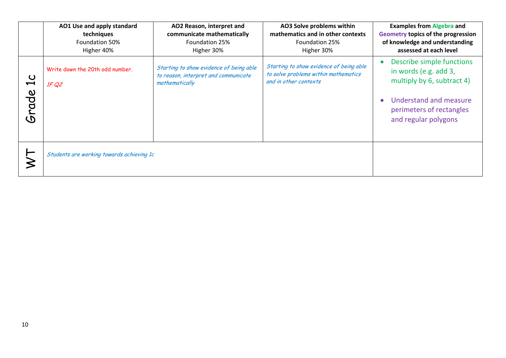|                                    | AO1 Use and apply standard<br>techniques<br>Foundation 50%<br>Higher 40%                                                                      | AO2 Reason, interpret and<br>communicate mathematically<br>Foundation 25%<br>Higher 30% | AO3 Solve problems within<br>mathematics and in other contexts<br><b>Foundation 25%</b><br>Higher 30%    | <b>Examples from Algebra and</b><br>Geometry topics of the progression<br>of knowledge and understanding<br>assessed at each level                                          |
|------------------------------------|-----------------------------------------------------------------------------------------------------------------------------------------------|-----------------------------------------------------------------------------------------|----------------------------------------------------------------------------------------------------------|-----------------------------------------------------------------------------------------------------------------------------------------------------------------------------|
| $\overline{\mathfrak{c}}$<br>Srade | Starting to show evidence of being able<br>Write down the 20th odd number.<br>to reason, interpret and communicate<br>mathematically<br>1F Q2 |                                                                                         | Starting to show evidence of being able<br>to solve problems within mathematics<br>and in other contexts | Describe simple functions<br>in words (e.g. add 3,<br>multiply by 6, subtract 4)<br>Understand and measure<br>$\bullet$<br>perimeters of rectangles<br>and regular polygons |
|                                    | Students are working towards achieving 1c                                                                                                     |                                                                                         |                                                                                                          |                                                                                                                                                                             |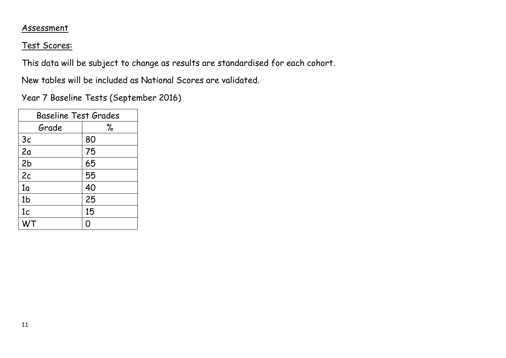## Assessment

## Test Scores:

This data will be subject to change as results are standardised for each cohort.

New tables will be included as National Scores are validated.

Year 7 Baseline Tests (September 2016)

| <b>Baseline Test Grades</b> |    |  |  |  |  |  |
|-----------------------------|----|--|--|--|--|--|
| Grade                       | ℅  |  |  |  |  |  |
| 3c                          | 80 |  |  |  |  |  |
| 2a                          | 75 |  |  |  |  |  |
| 2 <sub>b</sub>              | 65 |  |  |  |  |  |
| 2c                          | 55 |  |  |  |  |  |
| 1 <sub>a</sub>              | 40 |  |  |  |  |  |
| 1 <sub>b</sub>              | 25 |  |  |  |  |  |
| 1 <sub>c</sub>              | 15 |  |  |  |  |  |
|                             | ∩  |  |  |  |  |  |